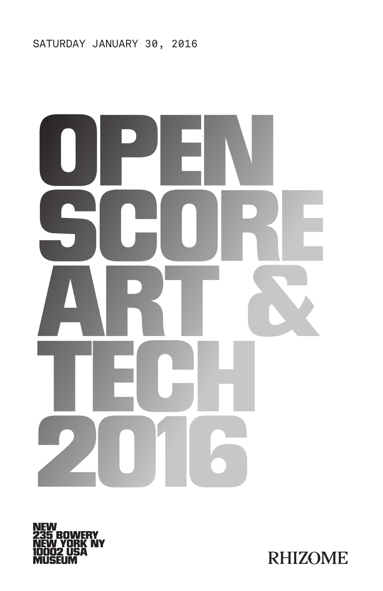

**RHIZOME**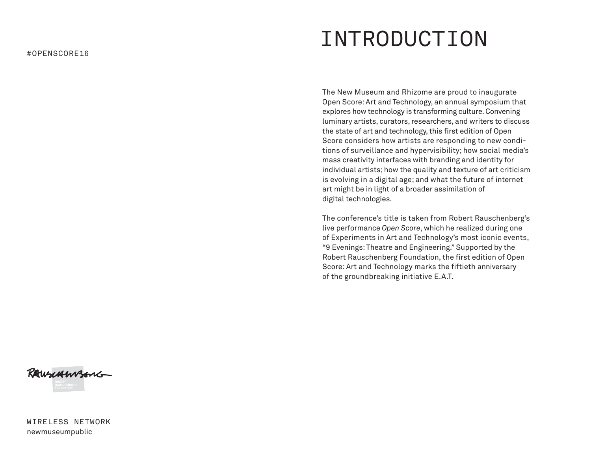#### #OPENSCORE16

## INTRODUCTION

The New Museum and Rhizome are proud to inaugurate Open Score: Art and Technology, an annual symposium that explores how technology is transforming culture. Convening luminary artists, curators, researchers, and writers to discuss the state of art and technology, this first edition of Open Score considers how artists are responding to new conditions of surveillance and hypervisibility; how social media's mass creativity interfaces with branding and identity for individual artists; how the quality and texture of art criticism is evolving in a digital age; and what the future of internet art might be in light of a broader assimilation of digital technologies.

The conference's title is taken from Robert Rauschenberg's live performance *Open Score*, which he realized during one of Experiments in Art and Technology's most iconic events, "9 Evenings: Theatre and Engineering." Supported by the Robert Rauschenberg Foundation, the first edition of Open Score: Art and Technology marks the fiftieth anniversary of the groundbreaking initiative E.A.T.

RAWSCHWBENG

WIRELESS NETWORK newmuseumpublic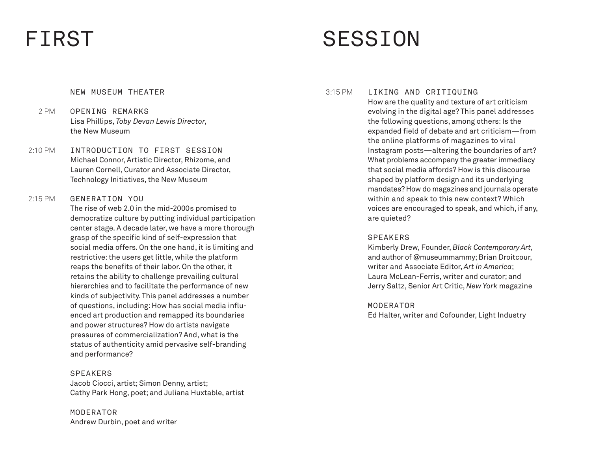#### NEW MUSEUM THEATER

- 2 PM OPENING REMARKS Lisa Phillips, *Toby Devan Lewis Director*, the New Museum
- 2:10 PM INTRODUCTION TO FIRST SESSION Michael Connor, Artistic Director, Rhizome, and Lauren Cornell, Curator and Associate Director, Technology Initiatives, the New Museum

#### 2:15 PM GENERATION YOU

The rise of web 2.0 in the mid-2000s promised to democratize culture by putting individual participation center stage. A decade later, we have a more thorough grasp of the specific kind of self-expression that social media offers. On the one hand, it is limiting and restrictive: the users get little, while the platform reaps the benefits of their labor. On the other, it retains the ability to challenge prevailing cultural hierarchies and to facilitate the performance of new kinds of subjectivity. This panel addresses a number of questions, including: How has social media influenced art production and remapped its boundaries and power structures? How do artists navigate pressures of commercialization? And, what is the status of authenticity amid pervasive self-branding and performance?

#### SPEAKERS

Jacob Ciocci, artist; Simon Denny, artist; Cathy Park Hong, poet; and Juliana Huxtable, artist

MODERATOR Andrew Durbin, poet and writer

# FIRST SESSION

#### 3:15 PM LIKING AND CRITIQUING

How are the quality and texture of art criticism evolving in the digital age? This panel addresses the following questions, among others: Is the expanded field of debate and art criticism—from the online platforms of magazines to viral Instagram posts—altering the boundaries of art? What problems accompany the greater immediacy that social media affords? How is this discourse shaped by platform design and its underlying mandates? How do magazines and journals operate within and speak to this new context? Which voices are encouraged to speak, and which, if any, are quieted?

#### SPEAKERS

Kimberly Drew, Founder, *Black Contemporary Art*, and author of @museummammy; Brian Droitcour, writer and Associate Editor, *Art in America*; Laura McLean-Ferris, writer and curator; and Jerry Saltz, Senior Art Critic, *New York* magazine

#### MODERATOR

Ed Halter, writer and Cofounder, Light Industry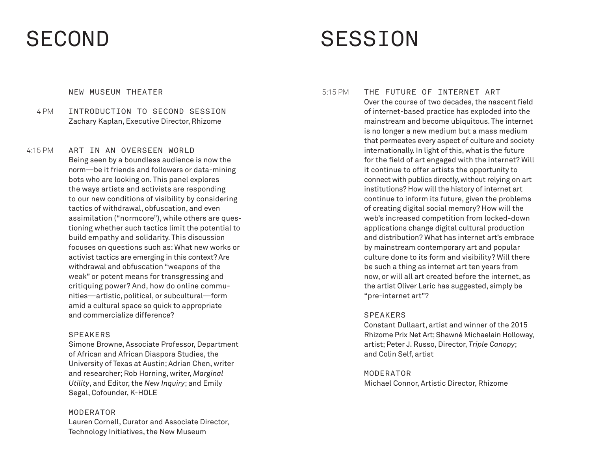NEW MUSEUM THEATER

4 PM INTRODUCTION TO SECOND SESSION Zachary Kaplan, Executive Director, Rhizome

4:15 PM ART IN AN OVERSEEN WORLD Being seen by a boundless audience is now the norm—be it friends and followers or data-mining bots who are looking on. This panel explores the ways artists and activists are responding to our new conditions of visibility by considering tactics of withdrawal, obfuscation, and even assimilation ("normcore"), while others are questioning whether such tactics limit the potential to build empathy and solidarity. This discussion focuses on questions such as: What new works or activist tactics are emerging in this context? Are withdrawal and obfuscation "weapons of the weak" or potent means for transgressing and critiquing power? And, how do online communities—artistic, political, or subcultural—form amid a cultural space so quick to appropriate and commercialize difference?

#### SPEAKERS

Simone Browne, Associate Professor, Department of African and African Diaspora Studies, the University of Texas at Austin; Adrian Chen, writer and researcher; Rob Horning, writer, *Marginal Utility*, and Editor, the *New Inquiry*; and Emily Segal, Cofounder, K-HOLE

MODERATOR

Lauren Cornell, Curator and Associate Director, Technology Initiatives, the New Museum

# SECOND SESSION

#### 5:15 PM THE FUTURE OF INTERNET ART

Over the course of two decades, the nascent field of internet-based practice has exploded into the mainstream and become ubiquitous. The internet is no longer a new medium but a mass medium that permeates every aspect of culture and society internationally. In light of this, what is the future for the field of art engaged with the internet? Will it continue to offer artists the opportunity to connect with publics directly, without relying on art institutions? How will the history of internet art continue to inform its future, given the problems of creating digital social memory? How will the web's increased competition from locked-down applications change digital cultural production and distribution? What has internet art's embrace by mainstream contemporary art and popular culture done to its form and visibility? Will there be such a thing as internet art ten years from now, or will all art created before the internet, as the artist Oliver Laric has suggested, simply be "pre-internet art"?

#### SPEAKERS

Constant Dullaart, artist and winner of the 2015 Rhizome Prix Net Art; Shawné Michaelain Holloway, artist; Peter J. Russo, Director, *Triple Canopy*; and Colin Self, artist

#### MODERATOR

Michael Connor, Artistic Director, Rhizome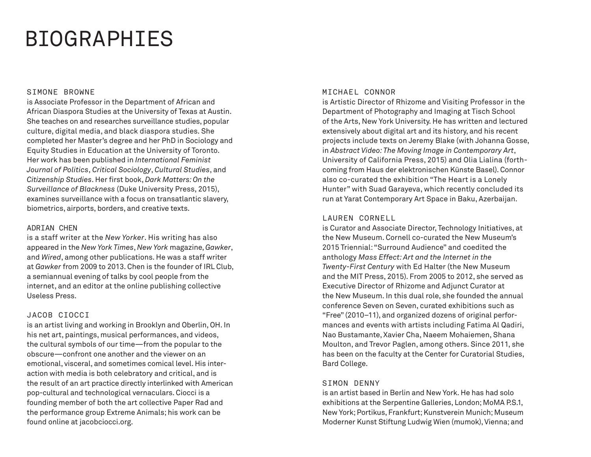#### SIMONE BROWNE

is Associate Professor in the Department of African and African Diaspora Studies at the University of Texas at Austin. She teaches on and researches surveillance studies, popular culture, digital media, and black diaspora studies. She completed her Master's degree and her PhD in Sociology and Equity Studies in Education at the University of Toronto. Her work has been published in *International Feminist Journal of Politics*, *Critical Sociology*, *Cultural Studies*, and *Citizenship Studies*. Her first book, *Dark Matters: On the Surveillance of Blackness* (Duke University Press, 2015), examines surveillance with a focus on transatlantic slavery, biometrics, airports, borders, and creative texts.

#### ADRIAN CHEN

is a staff writer at the *New Yorker*. His writing has also appeared in the *New York Times*, *New York* magazine, *Gawker*, and *Wired*, among other publications. He was a staff writer at *Gawker* from 2009 to 2013. Chen is the founder of IRL Club, a semiannual evening of talks by cool people from the internet, and an editor at the online publishing collective Useless Press.

### JACOB CIOCCI

is an artist living and working in Brooklyn and Oberlin, OH. In his net art, paintings, musical performances, and videos, the cultural symbols of our time—from the popular to the obscure—confront one another and the viewer on an emotional, visceral, and sometimes comical level. His interaction with media is both celebratory and critical, and is the result of an art practice directly interlinked with American pop-cultural and technological vernaculars. Ciocci is a founding member of both the art collective Paper Rad and the performance group Extreme Animals; his work can be found online at jacobciocci.org.

#### MICHAEL CONNOR

is Artistic Director of Rhizome and Visiting Professor in the Department of Photography and Imaging at Tisch School of the Arts, New York University. He has written and lectured extensively about digital art and its history, and his recent projects include texts on Jeremy Blake (with Johanna Gosse, in *Abstract Video: The Moving Image in Contemporary Art*, University of California Press, 2015) and Olia Lialina (forthcoming from Haus der elektronischen Künste Basel). Connor also co-curated the exhibition "The Heart is a Lonely Hunter" with Suad Garayeva, which recently concluded its run at Yarat Contemporary Art Space in Baku, Azerbaijan.

#### LAUREN CORNELL

is Curator and Associate Director, Technology Initiatives, at the New Museum. Cornell co-curated the New Museum's 2015 Triennial: "Surround Audience" and coedited the anthology *Mass Effect: Art and the Internet in the Twenty-First Century* with Ed Halter (the New Museum and the MIT Press, 2015). From 2005 to 2012, she served as Executive Director of Rhizome and Adjunct Curator at the New Museum. In this dual role, she founded the annual conference Seven on Seven, curated exhibitions such as "Free" (2010–11), and organized dozens of original performances and events with artists including Fatima Al Qadiri, Nao Bustamante, Xavier Cha, Naeem Mohaiemen, Shana Moulton, and Trevor Paglen, among others. Since 2011, she has been on the faculty at the Center for Curatorial Studies, Bard College.

#### SIMON DENNY

is an artist based in Berlin and New York. He has had solo exhibitions at the Serpentine Galleries, London; MoMA P.S.1, New York; Portikus, Frankfurt; Kunstverein Munich; Museum Moderner Kunst Stiftung Ludwig Wien (mumok), Vienna; and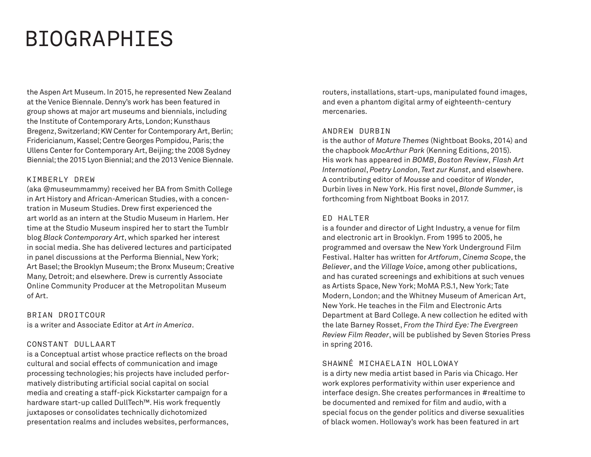the Aspen Art Museum. In 2015, he represented New Zealand at the Venice Biennale. Denny's work has been featured in group shows at major art museums and biennials, including the Institute of Contemporary Arts, London; Kunsthaus Bregenz, Switzerland; KW Center for Contemporary Art, Berlin; Fridericianum, Kassel; Centre Georges Pompidou, Paris; the Ullens Center for Contemporary Art, Beijing; the 2008 Sydney Biennial; the 2015 Lyon Biennial; and the 2013 Venice Biennale.

#### KIMBERLY DREW

(aka @museummammy) received her BA from Smith College in Art History and African-American Studies, with a concentration in Museum Studies. Drew first experienced the art world as an intern at the Studio Museum in Harlem. Her time at the Studio Museum inspired her to start the Tumblr blog *Black Contemporary Art*, which sparked her interest in social media. She has delivered lectures and participated in panel discussions at the Performa Biennial, New York; Art Basel; the Brooklyn Museum; the Bronx Museum; Creative Many, Detroit; and elsewhere. Drew is currently Associate Online Community Producer at the Metropolitan Museum of Art.

BRIAN DROITCOUR is a writer and Associate Editor at *Art in America*.

### CONSTANT DULLAART

is a Conceptual artist whose practice reflects on the broad cultural and social effects of communication and image processing technologies; his projects have included performatively distributing artificial social capital on social media and creating a staff-pick Kickstarter campaign for a hardware start-up called DullTech™. His work frequently juxtaposes or consolidates technically dichotomized presentation realms and includes websites, performances,

routers, installations, start-ups, manipulated found images, and even a phantom digital army of eighteenth-century mercenaries.

### ANDREW DURBIN

is the author of *Mature Themes* (Nightboat Books, 2014) and the chapbook *MacArthur Park* (Kenning Editions, 2015). His work has appeared in *BOMB*, *Boston Review*, *Flash Art International*, *Poetry London*, *Text zur Kunst*, and elsewhere. A contributing editor of *Mousse* and coeditor of *Wonder*, Durbin lives in New York. His first novel, *Blonde Summer*, is forthcoming from Nightboat Books in 2017.

#### ED HALTER

is a founder and director of Light Industry, a venue for film and electronic art in Brooklyn. From 1995 to 2005, he programmed and oversaw the New York Underground Film Festival. Halter has written for *Artforum*, *Cinema Scope*, the *Believer*, and the *Village Voice*, among other publications, and has curated screenings and exhibitions at such venues as Artists Space, New York; MoMA P.S.1, New York; Tate Modern, London; and the Whitney Museum of American Art, New York. He teaches in the Film and Electronic Arts Department at Bard College. A new collection he edited with the late Barney Rosset, *From the Third Eye: The Evergreen Review Film Reader*, will be published by Seven Stories Press in spring 2016.

### SHAWNÉ MICHAELAIN HOLLOWAY

is a dirty new media artist based in Paris via Chicago. Her work explores performativity within user experience and interface design. She creates performances in #realtime to be documented and remixed for film and audio, with a special focus on the gender politics and diverse sexualities of black women. Holloway's work has been featured in art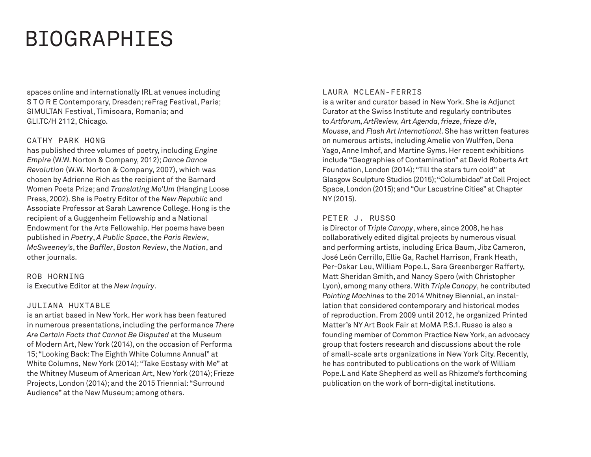spaces online and internationally IRL at venues including S T O R E Contemporary, Dresden; reFrag Festival, Paris; SIMULTAN Festival, Timisoara, Romania; and GLI.TC/H 2112, Chicago.

#### CATHY PARK HONG

has published three volumes of poetry, including *Engine Empire* (W.W. Norton & Company, 2012); *Dance Dance Revolution* (W.W. Norton & Company, 2007), which was chosen by Adrienne Rich as the recipient of the Barnard Women Poets Prize; and *Translating Mo'Um* (Hanging Loose Press, 2002). She is Poetry Editor of the *New Republic* and Associate Professor at Sarah Lawrence College. Hong is the recipient of a Guggenheim Fellowship and a National Endowment for the Arts Fellowship. Her poems have been published in *Poetry*, *A Public Space*,the *Paris Review*, *McSweeney's*, the *Baffler*, *Boston Review*, the *Nation*, and other journals.

ROB HORNING is Executive Editor at the *New Inquiry*.

#### JULIANA HUXTABLE

is an artist based in New York. Her work has been featured in numerous presentations, including the performance *There Are Certain Facts that Cannot Be Disputed* at the Museum of Modern Art, New York (2014), on the occasion of Performa 15; "Looking Back: The Eighth White Columns Annual" at White Columns, New York (2014); "Take Ecstasy with Me" at the Whitney Museum of American Art, New York (2014); Frieze Projects, London (2014); and the 2015 Triennial: "Surround Audience" at the New Museum; among others.

#### LAURA MCLEAN-FERRIS

is a writer and curator based in New York. She is Adjunct Curator at the Swiss Institute and regularly contributes to *Artforum*, *ArtReview*, *Art Agenda*,*frieze*,*frieze d/e*, *Mousse*, and *Flash Art International*. She has written features on numerous artists, including Amelie von Wulffen, Dena Yago, Anne Imhof, and Martine Syms. Her recent exhibitions include "Geographies of Contamination" at David Roberts Art Foundation, London (2014); "Till the stars turn cold" at Glasgow Sculpture Studios (2015); "Columbidae" at Cell Project Space, London (2015); and "Our Lacustrine Cities" at Chapter NY (2015).

#### PETER J. RUSSO

is Director of *Triple Canopy*, where, since 2008, he has collaboratively edited digital projects by numerous visual and performing artists, including Erica Baum, Jibz Cameron, José León Cerrillo, Ellie Ga, Rachel Harrison, Frank Heath, Per-Oskar Leu, William Pope.L, Sara Greenberger Rafferty, Matt Sheridan Smith, and Nancy Spero (with Christopher Lyon), among many others. With *Triple Canopy*, he contributed *Pointing Machines* to the 2014 Whitney Biennial, an installation that considered contemporary and historical modes of reproduction. From 2009 until 2012, he organized Printed Matter's NY Art Book Fair at MoMA P.S.1. Russo is also a founding member of Common Practice New York, an advocacy group that fosters research and discussions about the role of small-scale arts organizations in New York City. Recently, he has contributed to publications on the work of William Pope.L and Kate Shepherd as well as Rhizome's forthcoming publication on the work of born-digital institutions.